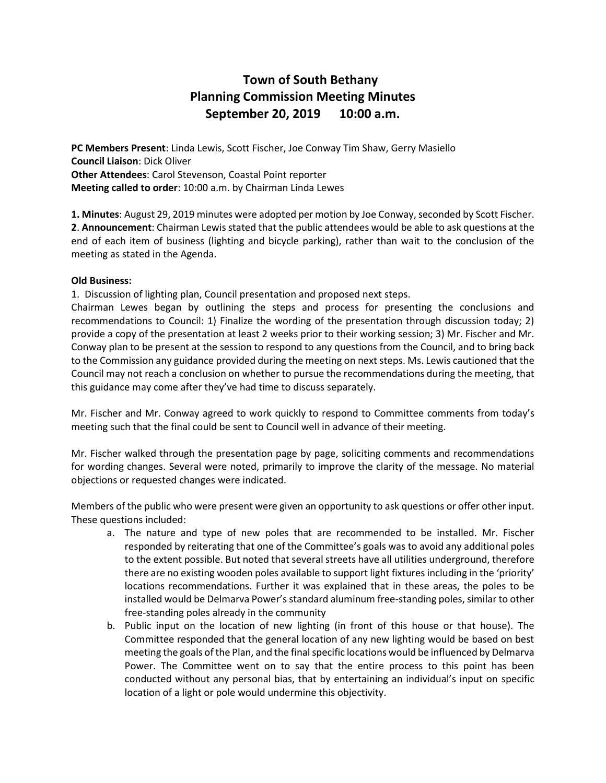## **Town of South Bethany Planning Commission Meeting Minutes September 20, 2019 10:00 a.m.**

**PC Members Present**: Linda Lewis, Scott Fischer, Joe Conway Tim Shaw, Gerry Masiello **Council Liaison**: Dick Oliver **Other Attendees**: Carol Stevenson, Coastal Point reporter **Meeting called to order**: 10:00 a.m. by Chairman Linda Lewes

**1. Minutes**: August 29, 2019 minutes were adopted per motion by Joe Conway, seconded by Scott Fischer. **2**. **Announcement**: Chairman Lewis stated that the public attendees would be able to ask questions at the end of each item of business (lighting and bicycle parking), rather than wait to the conclusion of the meeting as stated in the Agenda.

## **Old Business:**

1. Discussion of lighting plan, Council presentation and proposed next steps.

Chairman Lewes began by outlining the steps and process for presenting the conclusions and recommendations to Council: 1) Finalize the wording of the presentation through discussion today; 2) provide a copy of the presentation at least 2 weeks prior to their working session; 3) Mr. Fischer and Mr. Conway plan to be present at the session to respond to any questions from the Council, and to bring back to the Commission any guidance provided during the meeting on next steps. Ms. Lewis cautioned that the Council may not reach a conclusion on whether to pursue the recommendations during the meeting, that this guidance may come after they've had time to discuss separately.

Mr. Fischer and Mr. Conway agreed to work quickly to respond to Committee comments from today's meeting such that the final could be sent to Council well in advance of their meeting.

Mr. Fischer walked through the presentation page by page, soliciting comments and recommendations for wording changes. Several were noted, primarily to improve the clarity of the message. No material objections or requested changes were indicated.

Members of the public who were present were given an opportunity to ask questions or offer other input. These questions included:

- a. The nature and type of new poles that are recommended to be installed. Mr. Fischer responded by reiterating that one of the Committee's goals was to avoid any additional poles to the extent possible. But noted that several streets have all utilities underground, therefore there are no existing wooden poles available to support light fixtures including in the 'priority' locations recommendations. Further it was explained that in these areas, the poles to be installed would be Delmarva Power's standard aluminum free-standing poles, similar to other free-standing poles already in the community
- b. Public input on the location of new lighting (in front of this house or that house). The Committee responded that the general location of any new lighting would be based on best meeting the goals of the Plan, and the final specific locations would be influenced by Delmarva Power. The Committee went on to say that the entire process to this point has been conducted without any personal bias, that by entertaining an individual's input on specific location of a light or pole would undermine this objectivity.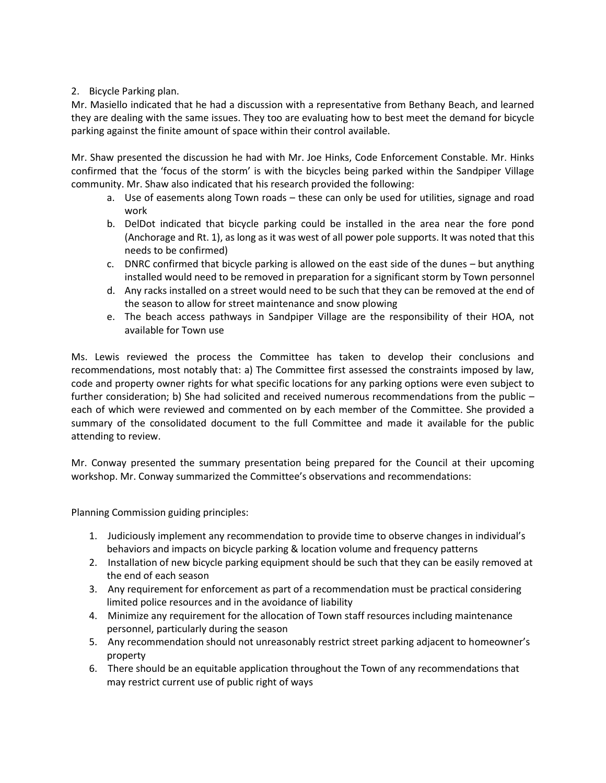## 2. Bicycle Parking plan.

Mr. Masiello indicated that he had a discussion with a representative from Bethany Beach, and learned they are dealing with the same issues. They too are evaluating how to best meet the demand for bicycle parking against the finite amount of space within their control available.

Mr. Shaw presented the discussion he had with Mr. Joe Hinks, Code Enforcement Constable. Mr. Hinks confirmed that the 'focus of the storm' is with the bicycles being parked within the Sandpiper Village community. Mr. Shaw also indicated that his research provided the following:

- a. Use of easements along Town roads these can only be used for utilities, signage and road work
- b. DelDot indicated that bicycle parking could be installed in the area near the fore pond (Anchorage and Rt. 1), as long as it was west of all power pole supports. It was noted that this needs to be confirmed)
- c. DNRC confirmed that bicycle parking is allowed on the east side of the dunes but anything installed would need to be removed in preparation for a significant storm by Town personnel
- d. Any racks installed on a street would need to be such that they can be removed at the end of the season to allow for street maintenance and snow plowing
- e. The beach access pathways in Sandpiper Village are the responsibility of their HOA, not available for Town use

Ms. Lewis reviewed the process the Committee has taken to develop their conclusions and recommendations, most notably that: a) The Committee first assessed the constraints imposed by law, code and property owner rights for what specific locations for any parking options were even subject to further consideration; b) She had solicited and received numerous recommendations from the public – each of which were reviewed and commented on by each member of the Committee. She provided a summary of the consolidated document to the full Committee and made it available for the public attending to review.

Mr. Conway presented the summary presentation being prepared for the Council at their upcoming workshop. Mr. Conway summarized the Committee's observations and recommendations:

Planning Commission guiding principles:

- 1. Judiciously implement any recommendation to provide time to observe changes in individual's behaviors and impacts on bicycle parking & location volume and frequency patterns
- 2. Installation of new bicycle parking equipment should be such that they can be easily removed at the end of each season
- 3. Any requirement for enforcement as part of a recommendation must be practical considering limited police resources and in the avoidance of liability
- 4. Minimize any requirement for the allocation of Town staff resources including maintenance personnel, particularly during the season
- 5. Any recommendation should not unreasonably restrict street parking adjacent to homeowner's property
- 6. There should be an equitable application throughout the Town of any recommendations that may restrict current use of public right of ways